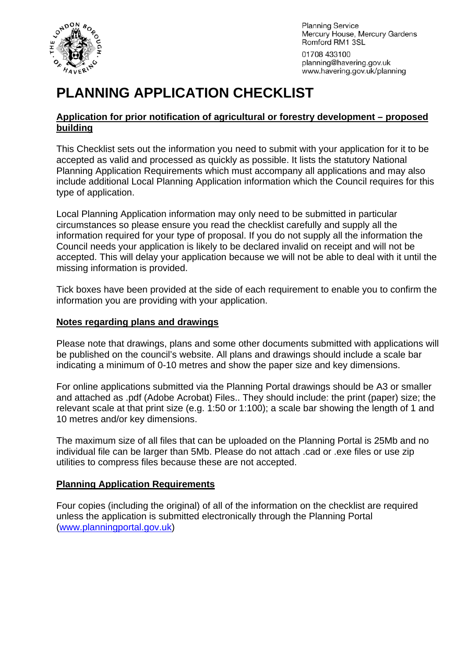

**Planning Service** Mercury House, Mercury Gardens Romford RM1 3SL

01708 433100 planning@havering.gov.uk www.havering.gov.uk/planning

# **PLANNING APPLICATION CHECKLIST**

#### **Application for prior notification of agricultural or forestry development – proposed building**

This Checklist sets out the information you need to submit with your application for it to be accepted as valid and processed as quickly as possible. It lists the statutory National Planning Application Requirements which must accompany all applications and may also include additional Local Planning Application information which the Council requires for this type of application.

Local Planning Application information may only need to be submitted in particular circumstances so please ensure you read the checklist carefully and supply all the information required for your type of proposal. If you do not supply all the information the Council needs your application is likely to be declared invalid on receipt and will not be accepted. This will delay your application because we will not be able to deal with it until the missing information is provided.

Tick boxes have been provided at the side of each requirement to enable you to confirm the information you are providing with your application.

#### **Notes regarding plans and drawings**

Please note that drawings, plans and some other documents submitted with applications will be published on the council's website. All plans and drawings should include a scale bar indicating a minimum of 0-10 metres and show the paper size and key dimensions.

For online applications submitted via the Planning Portal drawings should be A3 or smaller and attached as .pdf (Adobe Acrobat) Files.. They should include: the print (paper) size; the relevant scale at that print size (e.g. 1:50 or 1:100); a scale bar showing the length of 1 and 10 metres and/or key dimensions.

The maximum size of all files that can be uploaded on the Planning Portal is 25Mb and no individual file can be larger than 5Mb. Please do not attach .cad or .exe files or use zip utilities to compress files because these are not accepted.

# **Planning Application Requirements**

Four copies (including the original) of all of the information on the checklist are required unless the application is submitted electronically through the Planning Portal ([www.planningportal.gov.uk](http://www.planningportal.gov.uk/))